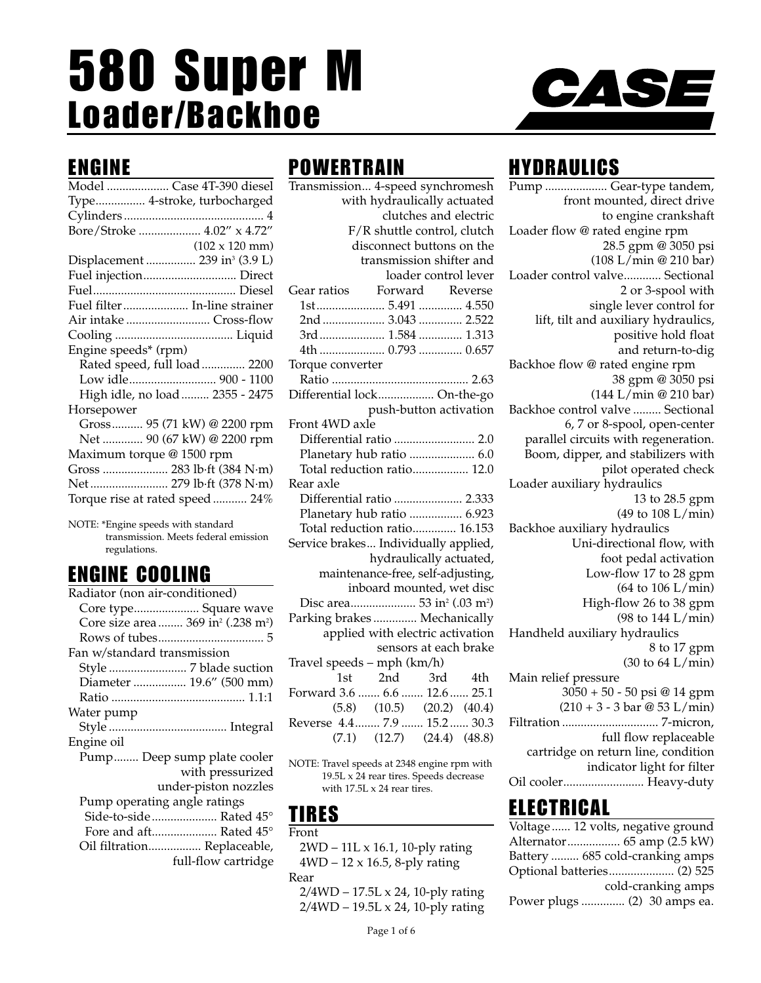# 580 Super M Loader/Backhoe



# ENGINE

| Model  Case 4T-390 diesel                 |
|-------------------------------------------|
| Type 4-stroke, turbocharged               |
|                                           |
| Bore/Stroke  4.02" x 4.72"                |
| $(102 \times 120 \text{ mm})$             |
| Displacement  239 in <sup>3</sup> (3.9 L) |
| Fuel injection Direct                     |
|                                           |
| Fuel filter  In-line strainer             |
| Air intake  Cross-flow                    |
|                                           |
| Engine speeds* (rpm)                      |
| Rated speed, full load  2200              |
| Low idle 900 - 1100                       |
| High idle, no load  2355 - 2475           |
| Horsepower                                |
| Gross 95 (71 kW) @ 2200 rpm               |
| Net  90 (67 kW) @ 2200 rpm                |
| Maximum torque @ 1500 rpm                 |
| Gross  283 lb·ft (384 N·m)                |
| Net  279 lb·ft (378 N·m)                  |
| Torque rise at rated speed 24%            |

NOTE: \*Engine speeds with standard transmission. Meets federal emission regulations.

# ENGINE COOLING

| Radiator (non air-conditioned)                             |
|------------------------------------------------------------|
| Core type Square wave                                      |
| Core size area  369 in <sup>2</sup> (.238 m <sup>2</sup> ) |
|                                                            |
| Fan w/standard transmission                                |
| Style  7 blade suction                                     |
| Diameter  19.6" (500 mm)                                   |
|                                                            |
| Water pump                                                 |
|                                                            |
| Engine oil                                                 |
| Pump Deep sump plate cooler                                |
| with pressurized                                           |
| under-piston nozzles                                       |
| Pump operating angle ratings                               |
| Side-to-side Rated 45°                                     |
| Fore and aft Rated 45°                                     |
| Oil filtration Replaceable,                                |
| full-flow cartridge                                        |
|                                                            |

# **POWERTRAIN**

| Transmission 4-speed synchromesh                   |
|----------------------------------------------------|
| with hydraulically actuated                        |
| clutches and electric                              |
| F/R shuttle control, clutch                        |
| disconnect buttons on the                          |
| transmission shifter and                           |
| loader control lever                               |
| Forward Reverse<br>Gear ratios                     |
| 1st5.491  4.550                                    |
|                                                    |
| 3rd 1.584 1.313                                    |
| 4th  0.793  0.657                                  |
| Torque converter                                   |
|                                                    |
| Differential lock On-the-go                        |
| push-button activation                             |
| Front 4WD axle                                     |
| Differential ratio  2.0                            |
| Planetary hub ratio  6.0                           |
| Total reduction ratio 12.0                         |
| Rear axle                                          |
| Differential ratio  2.333                          |
| Planetary hub ratio  6.923                         |
| Total reduction ratio 16.153                       |
| Service brakes Individually applied,               |
| hydraulically actuated,                            |
| maintenance-free, self-adjusting,                  |
| inboard mounted, wet disc                          |
| Disc area 53 in <sup>2</sup> (.03 m <sup>2</sup> ) |
| Parking brakes  Mechanically                       |
| applied with electric activation                   |
| sensors at each brake                              |
| Travel speeds - mph (km/h)                         |
| 2nd<br>1st<br>3rd 4th                              |
| Forward 3.6  6.6  12.6  25.1                       |
| $(5.8)$ $(10.5)$ $(20.2)$ $(40.4)$                 |
| Reverse 4.4 7.9  15.2  30.3                        |
| $(7.1)$ $(12.7)$ $(24.4)$ $(48.8)$                 |
|                                                    |

NOTE: Travel speeds at 2348 engine rpm with 19.5L x 24 rear tires. Speeds decrease with 17.5L x 24 rear tires.

## TIRES

Front

- 2WD 11L x 16.1, 10-ply rating 4WD – 12 x 16.5, 8-ply rating Rear
- 2/4WD 17.5L x 24, 10-ply rating 2/4WD – 19.5L x 24, 10-ply rating

# HYDRAULICS

Pump .................... Gear-type tandem, front mounted, direct drive to engine crankshaft Loader flow @ rated engine rpm 28.5 gpm @ 3050 psi (108 L/min @ 210 bar) Loader control valve............ Sectional 2 or 3-spool with single lever control for lift, tilt and auxiliary hydraulics, positive hold float and return-to-dig Backhoe flow @ rated engine rpm 38 gpm @ 3050 psi (144 L/min @ 210 bar) Backhoe control valve ......... Sectional 6, 7 or 8-spool, open-center parallel circuits with regeneration. Boom, dipper, and stabilizers with pilot operated check Loader auxiliary hydraulics 13 to 28.5 gpm (49 to 108 L/min) Backhoe auxiliary hydraulics Uni-directional flow, with foot pedal activation Low-flow 17 to 28 gpm (64 to 106 L/min) High-flow 26 to 38 gpm (98 to 144 L/min) Handheld auxiliary hydraulics 8 to 17 gpm (30 to 64 L/min) Main relief pressure 3050 + 50 - 50 psi @ 14 gpm  $(210 + 3 - 3 \text{ bar} \otimes 53 \text{ L/min})$ Filtration ............................... 7-micron, full flow replaceable cartridge on return line, condition indicator light for filter

### ELECTRICAL

| Voltage  12 volts, negative ground |                    |
|------------------------------------|--------------------|
| Alternator 65 amp (2.5 kW)         |                    |
| Battery  685 cold-cranking amps    |                    |
|                                    |                    |
|                                    | cold-cranking amps |
| Power plugs  (2) 30 amps ea.       |                    |

Oil cooler.......................... Heavy-duty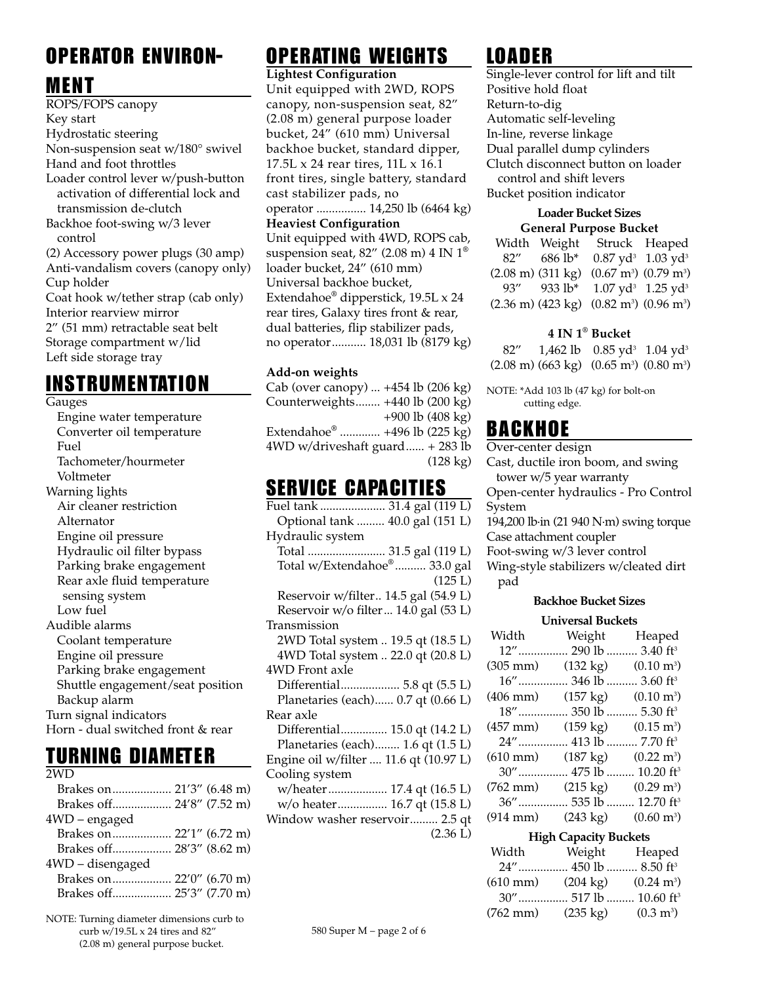# OPERATOR ENVIRON-

### MENT

ROPS/FOPS canopy Key start Hydrostatic steering Non-suspension seat w/180° swivel Hand and foot throttles Loader control lever w/push-button activation of differential lock and transmission de-clutch Backhoe foot-swing w/3 lever control (2) Accessory power plugs (30 amp) Anti-vandalism covers (canopy only) Cup holder Coat hook w/tether strap (cab only) Interior rearview mirror 2" (51 mm) retractable seat belt Storage compartment w/lid Left side storage tray

# INSTRUMENTATION

Gauges

Engine water temperature Converter oil temperature Fuel Tachometer/hourmeter Voltmeter Warning lights Air cleaner restriction Alternator Engine oil pressure Hydraulic oil filter bypass Parking brake engagement Rear axle fluid temperature sensing system Low fuel Audible alarms Coolant temperature Engine oil pressure Parking brake engagement Shuttle engagement/seat position Backup alarm Turn signal indicators Horn - dual switched front & rear

## TURNING DIAMETER

| 2WD                       |  |  |
|---------------------------|--|--|
|                           |  |  |
| Brakes off 24'8" (7.52 m) |  |  |
| 4WD - engaged             |  |  |
| Brakes on 22'1" (6.72 m)  |  |  |
| Brakes off 28'3" (8.62 m) |  |  |
| 4WD - disengaged          |  |  |
|                           |  |  |
| Brakes off 25'3" (7.70 m) |  |  |
|                           |  |  |

NOTE: Turning diameter dimensions curb to curb w/19.5L x 24 tires and 82" (2.08 m) general purpose bucket.

# OPERATING WEIGHTS

**Lightest Configuration** Unit equipped with 2WD, ROPS canopy, non-suspension seat, 82" (2.08 m) general purpose loader bucket, 24" (610 mm) Universal backhoe bucket, standard dipper, 17.5L x 24 rear tires, 11L x 16.1 front tires, single battery, standard cast stabilizer pads, no operator ................ 14,250 lb (6464 kg) **Heaviest Configuration** Unit equipped with 4WD, ROPS cab, suspension seat, 82" (2.08 m) 4 IN  $1^{\circ}$ loader bucket, 24" (610 mm) Universal backhoe bucket, Extendahoe® dipperstick, 19.5L x 24 rear tires, Galaxy tires front & rear, dual batteries, flip stabilizer pads, no operator........... 18,031 lb (8179 kg)

### **Add-on weights**

Cab (over canopy) ... +454 lb (206 kg) Counterweights........ +440 lb (200 kg) +900 lb (408 kg) Extendahoe® ............. +496 lb (225 kg) 4WD w/driveshaft guard...... + 283 lb (128 kg)

### SERVICE CAPACITIES

# LOADER

Single-lever control for lift and tilt Positive hold float Return-to-dig Automatic self-leveling In-line, reverse linkage Dual parallel dump cylinders Clutch disconnect button on loader control and shift levers Bucket position indicator

### **Loader Bucket Sizes General Purpose Bucket**

|      | Width Weight                          |                                             | Struck Heaped                               |
|------|---------------------------------------|---------------------------------------------|---------------------------------------------|
| 82"  | 686 lb*                               |                                             | $0.87$ yd <sup>3</sup> 1.03 yd <sup>3</sup> |
|      | $(2.08 \text{ m})$ $(311 \text{ kg})$ | $(0.67 \text{ m}^3)$ $(0.79 \text{ m}^3)$   |                                             |
| 93'' | 933 lb*                               | $1.07$ yd <sup>3</sup> 1.25 yd <sup>3</sup> |                                             |
|      | $(2.36 \text{ m})$ $(423 \text{ kg})$ | $(0.82 \text{ m}^3)$ $(0.96 \text{ m}^3)$   |                                             |

### **4 IN 1® Bucket**

82" 1,462 lb 0.85 yd<sup>3</sup> 1.04 yd<sup>3</sup> (2.08 m) (663 kg) (0.65 m<sup>3</sup>) (0.80 m<sup>3</sup>)

NOTE: \*Add 103 lb (47 kg) for bolt-on cutting edge.

## BACKHOE

Over-center design Cast, ductile iron boom, and swing tower w/5 year warranty Open-center hydraulics - Pro Control System 194,200 lb·in (21 940 N·m) swing torque Case attachment coupler Foot-swing w/3 lever control Wing-style stabilizers w/cleated dirt pad

### **Backhoe Bucket Sizes**

### **Universal Buckets**

| Width                  | Weight                                | Heaped                       |
|------------------------|---------------------------------------|------------------------------|
| 12"                    |                                       | 290 lb  3.40 ft <sup>3</sup> |
| $(305 \; \mathrm{mm})$ | $(132 \text{ kg})$                    | $(0.10 \text{ m}^3)$         |
| $16"$                  | $\ldots$ 346 lb  3.60 ft <sup>3</sup> |                              |
| $(406 \; \text{mm})$   | $(157 \text{ kg})$                    | $(0.10 \text{ m}^3)$         |
| 18"                    |                                       | 350 lb  5.30 ft <sup>3</sup> |
| (457 mm)               | $(159 \text{ kg})$                    | $(0.15 \text{ m}^3)$         |
|                        | 24" 413 lb                            | 7.70 ft <sup>3</sup>         |
| $(610 \text{ mm})$     | $(187 \text{ kg})$                    | $(0.22 \text{ m}^3)$         |
| $30''$                 | . 475 lb                              | 10.20 $ft^3$                 |
| (762 mm)               | $(215 \text{ kg})$                    | $(0.29 \text{ m}^3)$         |
| $36"$                  | .535 lb                               | 12.70 $ft^3$                 |
| $(914 \text{ mm})$     | $(243 \text{ kg})$                    | $(0.60 \text{ m}^3)$         |
|                        |                                       |                              |

### **High Capacity Buckets**

| Width              | Weight                            | Heaped                                  |
|--------------------|-----------------------------------|-----------------------------------------|
|                    | 24" 450 lb  8.50 ft <sup>3</sup>  |                                         |
| $(610 \text{ mm})$ |                                   | $(204 \text{ kg})$ $(0.24 \text{ m}^3)$ |
|                    | 30" 517 lb  10.60 ft <sup>3</sup> |                                         |
| $(762 \text{ mm})$ | $(235 \text{ kg})$                | $(0.3 \text{ m}^3)$                     |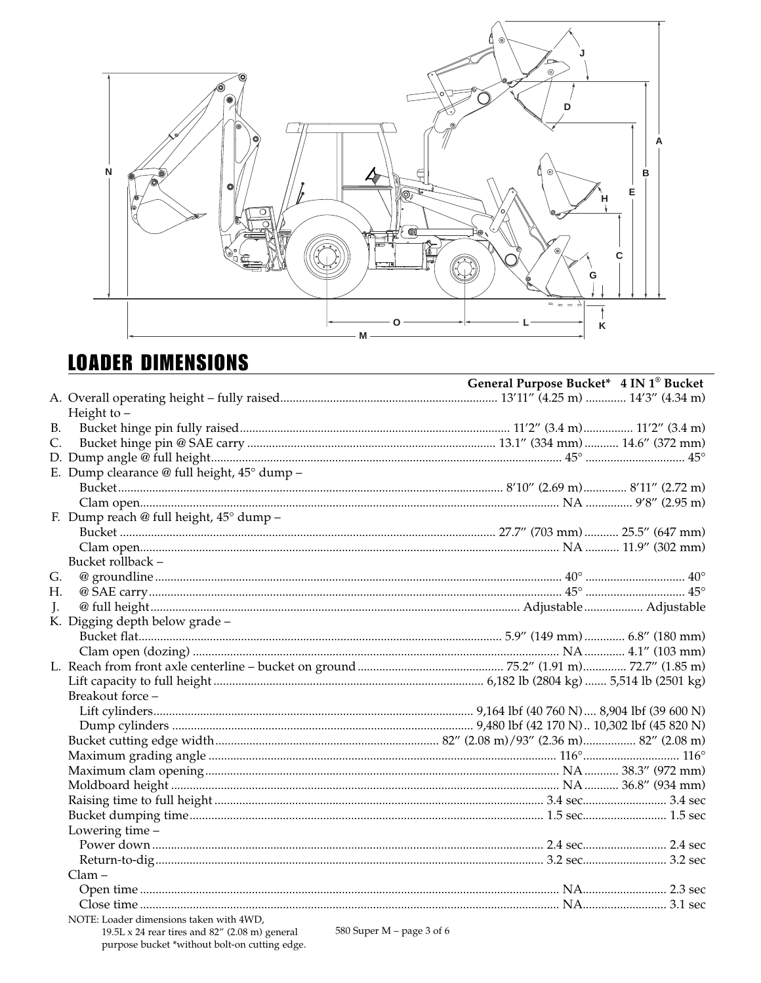

# **LOADER DIMENSIONS**

|                |                                                                                                                              | General Purpose Bucket* 4 IN 1 <sup>®</sup> Bucket |
|----------------|------------------------------------------------------------------------------------------------------------------------------|----------------------------------------------------|
|                |                                                                                                                              |                                                    |
|                | Height to $-$                                                                                                                |                                                    |
| <b>B.</b>      |                                                                                                                              |                                                    |
| C.             |                                                                                                                              |                                                    |
|                |                                                                                                                              |                                                    |
|                | E. Dump clearance @ full height, $45^{\circ}$ dump -                                                                         |                                                    |
|                |                                                                                                                              |                                                    |
|                |                                                                                                                              |                                                    |
|                | F. Dump reach @ full height, 45° dump -                                                                                      |                                                    |
|                |                                                                                                                              |                                                    |
|                |                                                                                                                              |                                                    |
|                | Bucket rollback -                                                                                                            |                                                    |
| G.             |                                                                                                                              |                                                    |
| Η.             |                                                                                                                              |                                                    |
| $\mathbf{I}$ . |                                                                                                                              |                                                    |
|                | K. Digging depth below grade -                                                                                               |                                                    |
|                |                                                                                                                              |                                                    |
|                |                                                                                                                              |                                                    |
|                |                                                                                                                              |                                                    |
|                |                                                                                                                              |                                                    |
|                | Breakout force -                                                                                                             |                                                    |
|                |                                                                                                                              |                                                    |
|                |                                                                                                                              |                                                    |
|                |                                                                                                                              |                                                    |
|                |                                                                                                                              |                                                    |
|                |                                                                                                                              |                                                    |
|                |                                                                                                                              |                                                    |
|                |                                                                                                                              |                                                    |
|                |                                                                                                                              |                                                    |
|                |                                                                                                                              |                                                    |
|                | Lowering time -                                                                                                              |                                                    |
|                |                                                                                                                              |                                                    |
|                |                                                                                                                              |                                                    |
|                | $Clam -$                                                                                                                     |                                                    |
|                |                                                                                                                              |                                                    |
|                |                                                                                                                              |                                                    |
|                | NOTE: Loader dimensions taken with 4WD,<br>$10.51 \times 24$ rear time and $82''$ (2.08 m) ceneral 580 Super M – page 3 of 6 |                                                    |
|                |                                                                                                                              |                                                    |

 $19.5 \text{L} \times 24$  rear tires and  $82^{\prime\prime}$  (2.08 m) general purpose bucket \*without bolt-on cutting edge.

580 Super M – page 3 of 6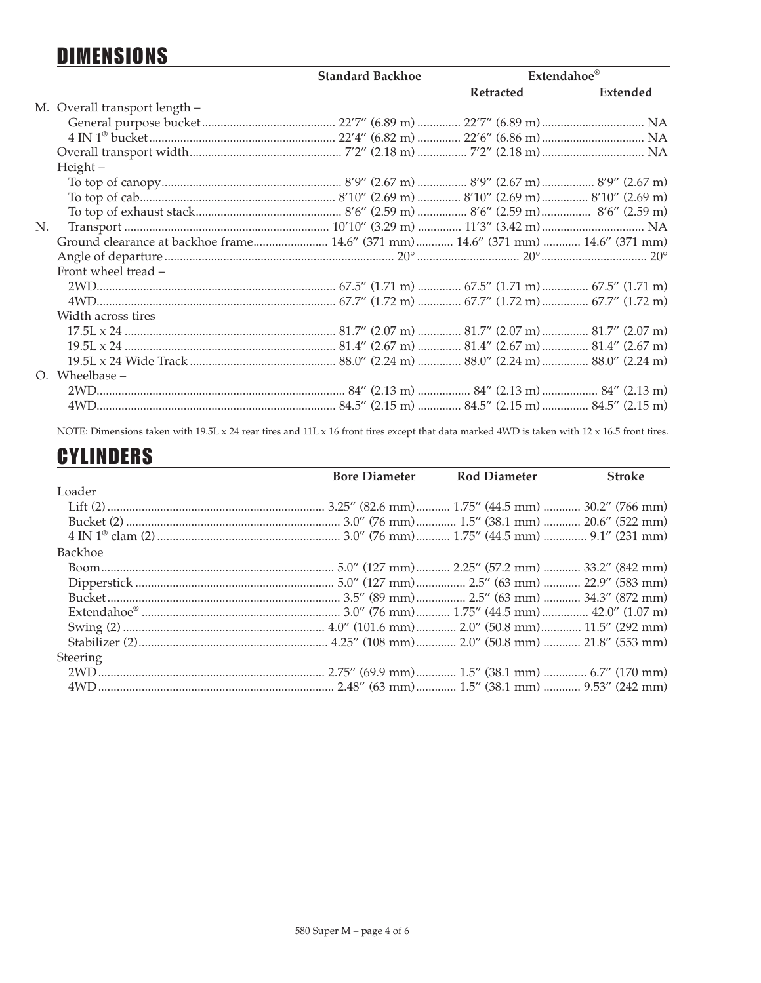# **DIMENSIONS**

|    |                                                                                 | <b>Standard Backhoe</b> | Extendahoe <sup>®</sup> |          |
|----|---------------------------------------------------------------------------------|-------------------------|-------------------------|----------|
|    |                                                                                 |                         | Retracted               | Extended |
|    | M. Overall transport length -                                                   |                         |                         |          |
|    |                                                                                 |                         |                         |          |
|    |                                                                                 |                         |                         |          |
|    |                                                                                 |                         |                         |          |
|    | Height-                                                                         |                         |                         |          |
|    |                                                                                 |                         |                         |          |
|    |                                                                                 |                         |                         |          |
|    |                                                                                 |                         |                         |          |
| N. |                                                                                 |                         |                         |          |
|    | Ground clearance at backhoe frame 14.6" (371 mm) 14.6" (371 mm)  14.6" (371 mm) |                         |                         |          |
|    |                                                                                 |                         |                         |          |
|    | Front wheel tread –                                                             |                         |                         |          |
|    |                                                                                 |                         |                         |          |
|    |                                                                                 |                         |                         |          |
|    | Width across tires                                                              |                         |                         |          |
|    |                                                                                 |                         |                         |          |
|    |                                                                                 |                         |                         |          |
|    |                                                                                 |                         |                         |          |
|    | O. Wheelbase -                                                                  |                         |                         |          |
|    |                                                                                 |                         |                         |          |
|    |                                                                                 |                         |                         |          |

NOTE: Dimensions taken with 19.5L x 24 rear tires and 11L x 16 front tires except that data marked 4WD is taken with 12 x 16.5 front tires.

# **CYLINDERS**

|          | <b>Bore Diameter</b> Rod Diameter | <b>Stroke</b> |
|----------|-----------------------------------|---------------|
| Loader   |                                   |               |
|          |                                   |               |
|          |                                   |               |
|          |                                   |               |
| Backhoe  |                                   |               |
|          |                                   |               |
|          |                                   |               |
|          |                                   |               |
|          |                                   |               |
|          |                                   |               |
|          |                                   |               |
| Steering |                                   |               |
|          |                                   |               |
|          |                                   |               |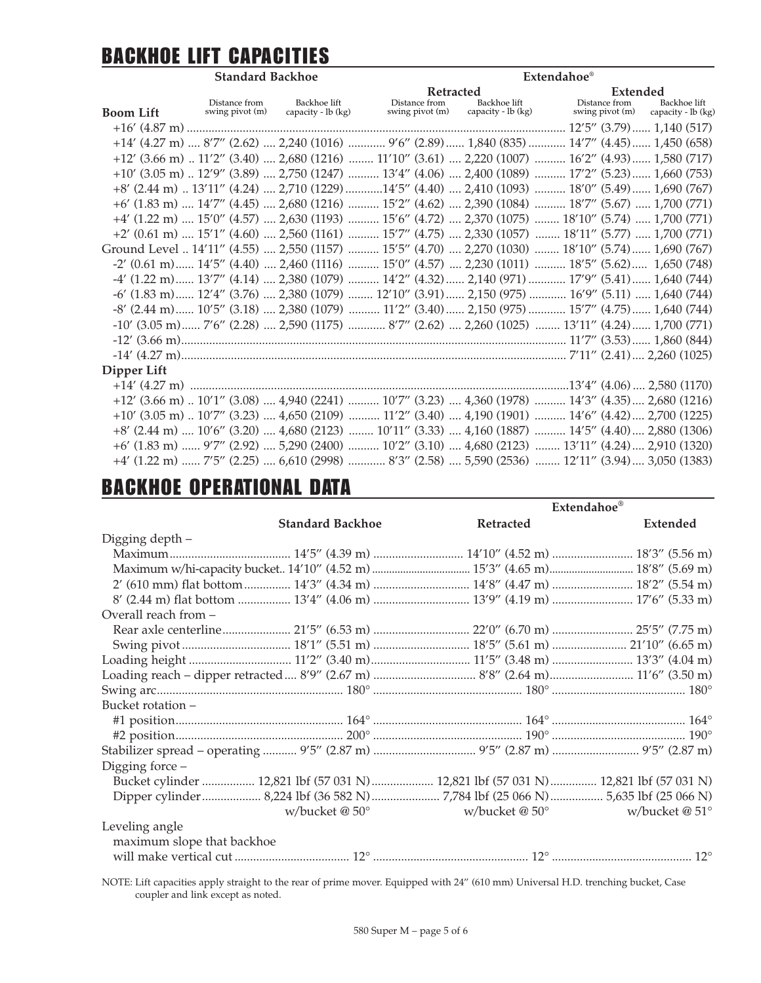# BACKHOE LIFT CAPACITIES

| <b>Standard Backhoe</b> |                                                                                                                                                                                     |                                    |  | <b>Extendahoe</b> <sup>®</sup>        |                    |  |                                  |                                    |  |
|-------------------------|-------------------------------------------------------------------------------------------------------------------------------------------------------------------------------------|------------------------------------|--|---------------------------------------|--------------------|--|----------------------------------|------------------------------------|--|
|                         |                                                                                                                                                                                     |                                    |  | Retracted<br><b>d</b><br>Backhoe lift |                    |  | Extended                         |                                    |  |
| <b>Boom Lift</b>        | Distance from<br>swing pivot (m)                                                                                                                                                    | Backhoe lift<br>capacity - lb (kg) |  | Distance from<br>swing pivot (m)      | capacity - lb (kg) |  | Distance from<br>swing pivot (m) | Backhoe lift<br>capacity - lb (kg) |  |
|                         |                                                                                                                                                                                     |                                    |  |                                       |                    |  |                                  |                                    |  |
|                         | +14' (4.27 m)  8'7" (2.62)  2,240 (1016)  9'6" (2.89)  1,840 (835)  14'7" (4.45)  1,450 (658)                                                                                       |                                    |  |                                       |                    |  |                                  |                                    |  |
|                         | +12' (3.66 m)  11'2" (3.40)  2,680 (1216)  11'10" (3.61)  2,220 (1007)  16'2" (4.93)  1,580 (717)                                                                                   |                                    |  |                                       |                    |  |                                  |                                    |  |
|                         | $+10'$ (3.05 m) $\ldots$ 12'9" (3.89) $\ldots$ 2,750 (1247) $\ldots$ $\ldots$ $13'4''$ (4.06) $\ldots$ 2,400 (1089) $\ldots$ $\ldots$ $17'2''$ (5.23) $\ldots$ $\ldots$ 1,660 (753) |                                    |  |                                       |                    |  |                                  |                                    |  |
|                         | +8' (2.44 m)  13'11" (4.24)  2,710 (1229) 14'5" (4.40)  2,410 (1093)  18'0" (5.49)  1,690 (767)                                                                                     |                                    |  |                                       |                    |  |                                  |                                    |  |
|                         | $+6'$ (1.83 m)  14'7" (4.45)  2,680 (1216)  15'2" (4.62)  2,390 (1084)  18'7" (5.67)  1,700 (771)                                                                                   |                                    |  |                                       |                    |  |                                  |                                    |  |
|                         | $+4'$ (1.22 m)  15'0" (4.57)  2,630 (1193)  15'6" (4.72)  2,370 (1075)  18'10" (5.74)  1,700 (771)                                                                                  |                                    |  |                                       |                    |  |                                  |                                    |  |
|                         | $+2'$ (0.61 m)  15'1" (4.60)  2,560 (1161)  15'7" (4.75)  2,330 (1057)  18'11" (5.77)  1,700 (771)                                                                                  |                                    |  |                                       |                    |  |                                  |                                    |  |
|                         | Ground Level  14'11" (4.55)  2,550 (1157)  15'5" (4.70)  2,270 (1030)  18'10" (5.74)  1,690 (767)                                                                                   |                                    |  |                                       |                    |  |                                  |                                    |  |
|                         | $-2'$ (0.61 m) $14'5''$ (4.40) $2,460$ (1116) $15'0''$ (4.57) $2,230$ (1011) $18'5''$ (5.62) $1,650$ (748)                                                                          |                                    |  |                                       |                    |  |                                  |                                    |  |
|                         | -4' (1.22 m) 13'7" (4.14)  2,380 (1079)  14'2" (4.32)  2,140 (971)  17'9" (5.41)  1,640 (744)                                                                                       |                                    |  |                                       |                    |  |                                  |                                    |  |
|                         | -6' (1.83 m)  12'4" (3.76)  2,380 (1079)  12'10" (3.91)  2,150 (975)  16'9" (5.11)  1,640 (744)                                                                                     |                                    |  |                                       |                    |  |                                  |                                    |  |
|                         | -8' (2.44 m) 10'5" (3.18)  2,380 (1079)  11'2" (3.40)  2,150 (975)  15'7" (4.75)  1,640 (744)                                                                                       |                                    |  |                                       |                    |  |                                  |                                    |  |
|                         | $-10'$ (3.05 m) $7'6''$ (2.28)  2,590 (1175) $8'7''$ (2.62)  2,260 (1025)  13'11" (4.24) 1,700 (771)                                                                                |                                    |  |                                       |                    |  |                                  |                                    |  |
|                         |                                                                                                                                                                                     |                                    |  |                                       |                    |  |                                  |                                    |  |
|                         |                                                                                                                                                                                     |                                    |  |                                       |                    |  |                                  |                                    |  |
| Dipper Lift             |                                                                                                                                                                                     |                                    |  |                                       |                    |  |                                  |                                    |  |
|                         |                                                                                                                                                                                     |                                    |  |                                       |                    |  |                                  |                                    |  |
|                         | +12' (3.66 m)  10'1" (3.08)  4,940 (2241)  10'7" (3.23)  4,360 (1978)  14'3" (4.35)  2,680 (1216)                                                                                   |                                    |  |                                       |                    |  |                                  |                                    |  |
|                         | $+10'$ (3.05 m) $\ldots$ 10'7" (3.23) $\ldots$ 4,650 (2109) $\ldots$ $\ldots$ $11'2''$ (3.40) $\ldots$ 4,190 (1901) $\ldots$ $\ldots$ $14'6''$ (4.42) $\ldots$ 2,700 (1225)         |                                    |  |                                       |                    |  |                                  |                                    |  |
|                         | +8' (2.44 m)  10'6" (3.20)  4,680 (2123)  10'11" (3.33)  4,160 (1887)  14'5" (4.40)  2,880 (1306)                                                                                   |                                    |  |                                       |                    |  |                                  |                                    |  |
|                         | +6' (1.83 m)  9'7" (2.92)  5,290 (2400)  10'2" (3.10)  4,680 (2123)  13'11" (4.24)  2,910 (1320)                                                                                    |                                    |  |                                       |                    |  |                                  |                                    |  |
|                         | +4' (1.22 m)  7'5" (2.25)  6,610 (2998)  8'3" (2.58)  5,590 (2536)  12'11" (3.94)  3,050 (1383)                                                                                     |                                    |  |                                       |                    |  |                                  |                                    |  |

# BACKHOE OPERATIONAL DATA

|                            |                            |                                                                                      | Extendahoe®     |  |  |
|----------------------------|----------------------------|--------------------------------------------------------------------------------------|-----------------|--|--|
|                            | <b>Standard Backhoe</b>    | Retracted                                                                            | Extended        |  |  |
| Digging depth -            |                            |                                                                                      |                 |  |  |
|                            |                            |                                                                                      |                 |  |  |
|                            |                            |                                                                                      |                 |  |  |
|                            |                            | 2' (610 mm) flat bottom  14'3" (4.34 m)  14'8" (4.47 m)  18'2" (5.54 m)              |                 |  |  |
|                            |                            | 8' (2.44 m) flat bottom  13'4" (4.06 m)  13'9" (4.19 m)  17'6" (5.33 m)              |                 |  |  |
| Overall reach from -       |                            |                                                                                      |                 |  |  |
|                            |                            |                                                                                      |                 |  |  |
|                            |                            |                                                                                      |                 |  |  |
|                            |                            |                                                                                      |                 |  |  |
|                            |                            | Loading reach - dipper retracted  8'9" (2.67 m)  8'8" (2.64 m)  11'6" (3.50 m)       |                 |  |  |
|                            |                            |                                                                                      |                 |  |  |
| Bucket rotation –          |                            |                                                                                      |                 |  |  |
|                            |                            |                                                                                      |                 |  |  |
|                            |                            |                                                                                      |                 |  |  |
|                            |                            | Stabilizer spread - operating  9'5" (2.87 m)  9'5" (2.87 m)  9'5" (2.87 m)           |                 |  |  |
| Digging force -            |                            |                                                                                      |                 |  |  |
|                            |                            | Bucket cylinder  12,821 lbf (57 031 N)  12,821 lbf (57 031 N)  12,821 lbf (57 031 N) |                 |  |  |
|                            |                            | Dipper cylinder 8,224 lbf (36 582 N)7,784 lbf (25 066 N) 5,635 lbf (25 066 N)        |                 |  |  |
|                            | w/bucket $@$ 50 $^{\circ}$ | w/bucket $@$ 50 $^{\circ}$                                                           | w/bucket $@51°$ |  |  |
| Leveling angle             |                            |                                                                                      |                 |  |  |
| maximum slope that backhoe |                            |                                                                                      |                 |  |  |
|                            |                            |                                                                                      |                 |  |  |

NOTE: Lift capacities apply straight to the rear of prime mover. Equipped with 24" (610 mm) Universal H.D. trenching bucket, Case coupler and link except as noted.